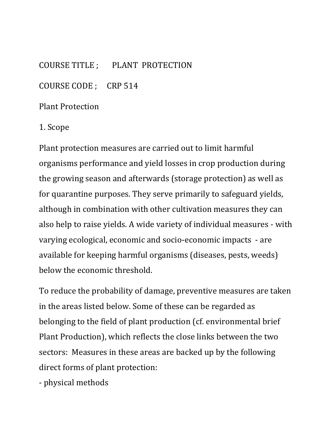COURSE TITLE ; PLANT PROTECTION

COURSE CODE ; CRP 514

Plant Protection

1. Scope

Plant protection measures are carried out to limit harmful organisms performance and yield losses in crop production during the growing season and afterwards (storage protection) as well as for quarantine purposes. They serve primarily to safeguard yields, although in combination with other cultivation measures they can also help to raise yields. A wide variety of individual measures - with varying ecological, economic and socio-economic impacts - are available for keeping harmful organisms (diseases, pests, weeds) below the economic threshold.

To reduce the probability of damage, preventive measures are taken in the areas listed below. Some of these can be regarded as belonging to the field of plant production (cf. environmental brief Plant Production), which reflects the close links between the two sectors: Measures in these areas are backed up by the following direct forms of plant protection:

- physical methods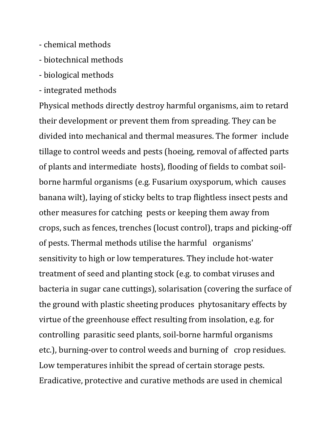- chemical methods
- biotechnical methods
- biological methods
- integrated methods

Physical methods directly destroy harmful organisms, aim to retard their development or prevent them from spreading. They can be divided into mechanical and thermal measures. The former include tillage to control weeds and pests (hoeing, removal of affected parts of plants and intermediate hosts), flooding of fields to combat soilborne harmful organisms (e.g. Fusarium oxysporum, which causes banana wilt), laying of sticky belts to trap flightless insect pests and other measures for catching pests or keeping them away from crops, such as fences, trenches (locust control), traps and picking-off of pests. Thermal methods utilise the harmful organisms' sensitivity to high or low temperatures. They include hot-water treatment of seed and planting stock (e.g. to combat viruses and bacteria in sugar cane cuttings), solarisation (covering the surface of the ground with plastic sheeting produces phytosanitary effects by virtue of the greenhouse effect resulting from insolation, e.g. for controlling parasitic seed plants, soil-borne harmful organisms etc.), burning-over to control weeds and burning of crop residues. Low temperatures inhibit the spread of certain storage pests. Eradicative, protective and curative methods are used in chemical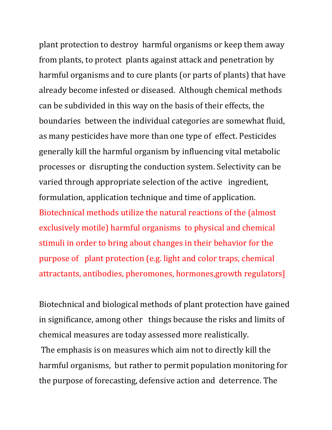plant protection to destroy harmful organisms or keep them away from plants, to protect plants against attack and penetration by harmful organisms and to cure plants (or parts of plants) that have already become infested or diseased. Although chemical methods can be subdivided in this way on the basis of their effects, the boundaries between the individual categories are somewhat fluid, as many pesticides have more than one type of effect. Pesticides generally kill the harmful organism by influencing vital metabolic processes or disrupting the conduction system. Selectivity can be varied through appropriate selection of the active ingredient, formulation, application technique and time of application. Biotechnical methods utilize the natural reactions of the (almost exclusively motile) harmful organisms to physical and chemical stimuli in order to bring about changes in their behavior for the purpose of plant protection (e.g. light and color traps, chemical attractants, antibodies, pheromones, hormones,growth regulators]

Biotechnical and biological methods of plant protection have gained in significance, among other things because the risks and limits of chemical measures are today assessed more realistically.

The emphasis is on measures which aim not to directly kill the harmful organisms, but rather to permit population monitoring for the purpose of forecasting, defensive action and deterrence. The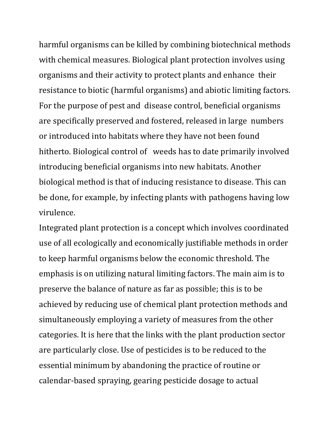harmful organisms can be killed by combining biotechnical methods with chemical measures. Biological plant protection involves using organisms and their activity to protect plants and enhance their resistance to biotic (harmful organisms) and abiotic limiting factors. For the purpose of pest and disease control, beneficial organisms are specifically preserved and fostered, released in large numbers or introduced into habitats where they have not been found hitherto. Biological control of weeds has to date primarily involved introducing beneficial organisms into new habitats. Another biological method is that of inducing resistance to disease. This can be done, for example, by infecting plants with pathogens having low virulence.

Integrated plant protection is a concept which involves coordinated use of all ecologically and economically justifiable methods in order to keep harmful organisms below the economic threshold. The emphasis is on utilizing natural limiting factors. The main aim is to preserve the balance of nature as far as possible; this is to be achieved by reducing use of chemical plant protection methods and simultaneously employing a variety of measures from the other categories. It is here that the links with the plant production sector are particularly close. Use of pesticides is to be reduced to the essential minimum by abandoning the practice of routine or calendar-based spraying, gearing pesticide dosage to actual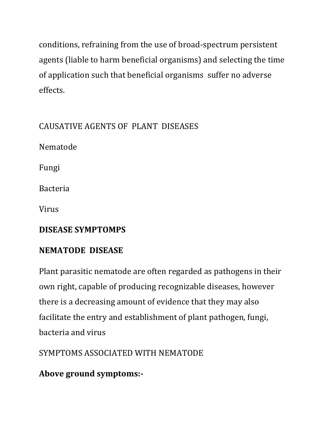conditions, refraining from the use of broad-spectrum persistent agents (liable to harm beneficial organisms) and selecting the time of application such that beneficial organisms suffer no adverse effects.

# CAUSATIVE AGENTS OF PLANT DISEASES

Nematode

Fungi

Bacteria

Virus

#### **DISEASE SYMPTOMPS**

# **NEMATODE DISEASE**

Plant parasitic nematode are often regarded as pathogens in their own right, capable of producing recognizable diseases, however there is a decreasing amount of evidence that they may also facilitate the entry and establishment of plant pathogen, fungi, bacteria and virus

SYMPTOMS ASSOCIATED WITH NEMATODE

**Above ground symptoms:-**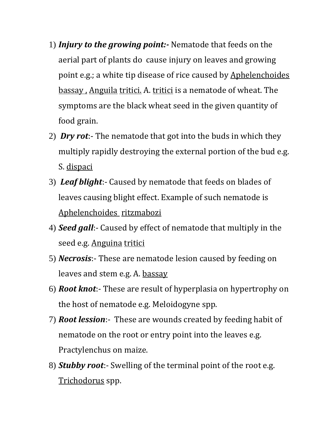- 1) *Injury to the growing point:-* Nematode that feeds on the aerial part of plants do cause injury on leaves and growing point e.g.; a white tip disease of rice caused by Aphelenchoides bassay , Anguila tritici. A. tritici is a nematode of wheat. The symptoms are the black wheat seed in the given quantity of food grain.
- 2) *Dry rot*:- The nematode that got into the buds in which they multiply rapidly destroying the external portion of the bud e.g. S. dispaci
- 3) *Leaf blight*:- Caused by nematode that feeds on blades of leaves causing blight effect. Example of such nematode is Aphelenchoides ritzmabozi
- 4) *Seed gall*:- Caused by effect of nematode that multiply in the seed e.g. Anguina tritici
- 5) *Necrosis*:- These are nematode lesion caused by feeding on leaves and stem e.g. A. bassay
- 6) *Root knot*:- These are result of hyperplasia on hypertrophy on the host of nematode e.g. Meloidogyne spp.
- 7) *Root lession*:- These are wounds created by feeding habit of nematode on the root or entry point into the leaves e.g. Practylenchus on maize.
- 8) *Stubby root*:- Swelling of the terminal point of the root e.g. Trichodorus spp.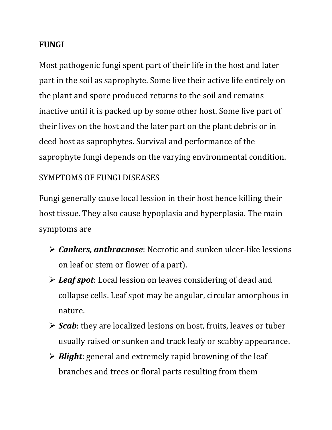#### **FUNGI**

Most pathogenic fungi spent part of their life in the host and later part in the soil as saprophyte. Some live their active life entirely on the plant and spore produced returns to the soil and remains inactive until it is packed up by some other host. Some live part of their lives on the host and the later part on the plant debris or in deed host as saprophytes. Survival and performance of the saprophyte fungi depends on the varying environmental condition.

#### SYMPTOMS OF FUNGI DISEASES

Fungi generally cause local lession in their host hence killing their host tissue. They also cause hypoplasia and hyperplasia. The main symptoms are

- *Cankers, anthracnose*: Necrotic and sunken ulcer-like lessions on leaf or stem or flower of a part).
- *Leaf spot*: Local lession on leaves considering of dead and collapse cells. Leaf spot may be angular, circular amorphous in nature.
- *Scab*: they are localized lesions on host, fruits, leaves or tuber usually raised or sunken and track leafy or scabby appearance.
- *Blight*: general and extremely rapid browning of the leaf branches and trees or floral parts resulting from them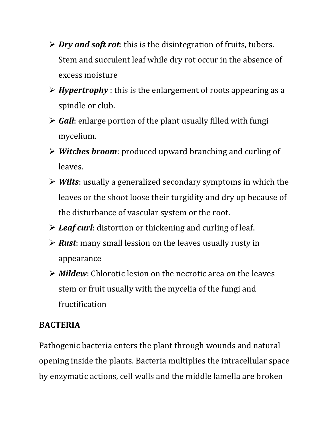- *Dry and soft rot*: this is the disintegration of fruits, tubers. Stem and succulent leaf while dry rot occur in the absence of excess moisture
- *Hypertrophy* : this is the enlargement of roots appearing as a spindle or club.
- *Gall*: enlarge portion of the plant usually filled with fungi mycelium.
- *Witches broom*: produced upward branching and curling of leaves.
- *Wilts*: usually a generalized secondary symptoms in which the leaves or the shoot loose their turgidity and dry up because of the disturbance of vascular system or the root.
- *Leaf curl*: distortion or thickening and curling of leaf.
- *Rust*: many small lession on the leaves usually rusty in appearance
- *Mildew*: Chlorotic lesion on the necrotic area on the leaves stem or fruit usually with the mycelia of the fungi and fructification

#### **BACTERIA**

Pathogenic bacteria enters the plant through wounds and natural opening inside the plants. Bacteria multiplies the intracellular space by enzymatic actions, cell walls and the middle lamella are broken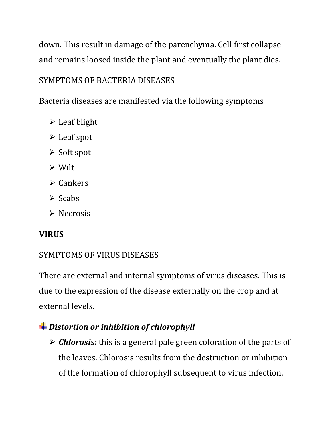down. This result in damage of the parenchyma. Cell first collapse and remains loosed inside the plant and eventually the plant dies.

## SYMPTOMS OF BACTERIA DISEASES

Bacteria diseases are manifested via the following symptoms

- $\triangleright$  Leaf blight
- Leaf spot
- $\triangleright$  Soft spot
- Wilt
- $\triangleright$  Cankers
- $\triangleright$  Scabs
- $\triangleright$  Necrosis

#### **VIRUS**

#### SYMPTOMS OF VIRUS DISEASES

There are external and internal symptoms of virus diseases. This is due to the expression of the disease externally on the crop and at external levels.

## *Distortion or inhibition of chlorophyll*

 *Chlorosis:* this is a general pale green coloration of the parts of the leaves. Chlorosis results from the destruction or inhibition of the formation of chlorophyll subsequent to virus infection.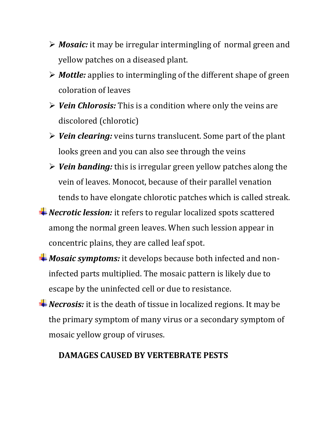- *Mosaic:* it may be irregular intermingling of normal green and yellow patches on a diseased plant.
- *Mottle:* applies to intermingling of the different shape of green coloration of leaves
- *Vein Chlorosis:* This is a condition where only the veins are discolored (chlorotic)
- *Vein clearing:* veins turns translucent. Some part of the plant looks green and you can also see through the veins
- *Vein banding:* this is irregular green yellow patches along the vein of leaves. Monocot, because of their parallel venation tends to have elongate chlorotic patches which is called streak.
- **<sup>↓</sup>Necrotic lession:** it refers to regular localized spots scattered among the normal green leaves. When such lession appear in concentric plains, they are called leaf spot.
- *Mosaic symptoms:* it develops because both infected and noninfected parts multiplied. The mosaic pattern is likely due to escape by the uninfected cell or due to resistance.
- *Necrosis:* it is the death of tissue in localized regions. It may be the primary symptom of many virus or a secondary symptom of mosaic yellow group of viruses.

#### **DAMAGES CAUSED BY VERTEBRATE PESTS**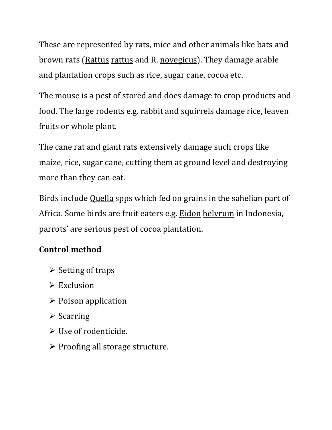These are represented by rats, mice and other animals like bats and brown rats (Rattus rattus and R. novegicus). They damage arable and plantation crops such as rice, sugar cane, cocoa etc.

The mouse is a pest of stored and does damage to crop products and food. The large rodents e.g. rabbit and squirrels damage rice, leaven fruits or whole plant.

The cane rat and giant rats extensively damage such crops like maize, rice, sugar cane, cutting them at ground level and destroying more than they can eat.

Birds include Quella spps which fed on grains in the sahelian part of Africa. Some birds are fruit eaters e.g. Eidon helvrum in Indonesia, parrots' are serious pest of cocoa plantation.

# **Control method**

- $\triangleright$  Setting of traps
- $\triangleright$  Exclusion
- $\triangleright$  Poison application
- $\triangleright$  Scarring
- Use of rodenticide.
- $\triangleright$  Proofing all storage structure.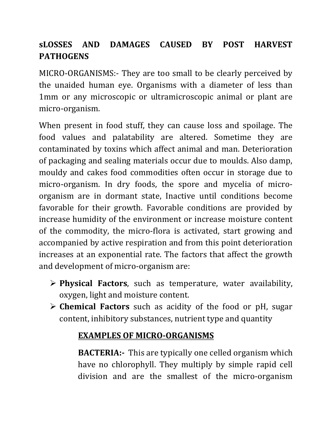# **sLOSSES AND DAMAGES CAUSED BY POST HARVEST PATHOGENS**

MICRO-ORGANISMS:- They are too small to be clearly perceived by the unaided human eye. Organisms with a diameter of less than 1mm or any microscopic or ultramicroscopic animal or plant are micro-organism.

When present in food stuff, they can cause loss and spoilage. The food values and palatability are altered. Sometime they are contaminated by toxins which affect animal and man. Deterioration of packaging and sealing materials occur due to moulds. Also damp, mouldy and cakes food commodities often occur in storage due to micro-organism. In dry foods, the spore and mycelia of microorganism are in dormant state, Inactive until conditions become favorable for their growth. Favorable conditions are provided by increase humidity of the environment or increase moisture content of the commodity, the micro-flora is activated, start growing and accompanied by active respiration and from this point deterioration increases at an exponential rate. The factors that affect the growth and development of micro-organism are:

- **Physical Factors**, such as temperature, water availability, oxygen, light and moisture content.
- **Chemical Factors** such as acidity of the food or pH, sugar content, inhibitory substances, nutrient type and quantity

## **EXAMPLES OF MICRO-ORGANISMS**

**BACTERIA:-** This are typically one celled organism which have no chlorophyll. They multiply by simple rapid cell division and are the smallest of the micro-organism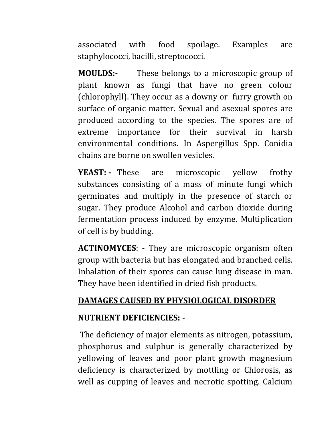associated with food spoilage. Examples are staphylococci, bacilli, streptococci.

**MOULDS:-** These belongs to a microscopic group of plant known as fungi that have no green colour (chlorophyll). They occur as a downy or furry growth on surface of organic matter. Sexual and asexual spores are produced according to the species. The spores are of extreme importance for their survival in harsh environmental conditions. In Aspergillus Spp. Conidia chains are borne on swollen vesicles.

**YEAST: -** These are microscopic yellow frothy substances consisting of a mass of minute fungi which germinates and multiply in the presence of starch or sugar. They produce Alcohol and carbon dioxide during fermentation process induced by enzyme. Multiplication of cell is by budding.

**ACTINOMYCES**: - They are microscopic organism often group with bacteria but has elongated and branched cells. Inhalation of their spores can cause lung disease in man. They have been identified in dried fish products.

# **DAMAGES CAUSED BY PHYSIOLOGICAL DISORDER**

#### **NUTRIENT DEFICIENCIES: -**

The deficiency of major elements as nitrogen, potassium, phosphorus and sulphur is generally characterized by yellowing of leaves and poor plant growth magnesium deficiency is characterized by mottling or Chlorosis, as well as cupping of leaves and necrotic spotting. Calcium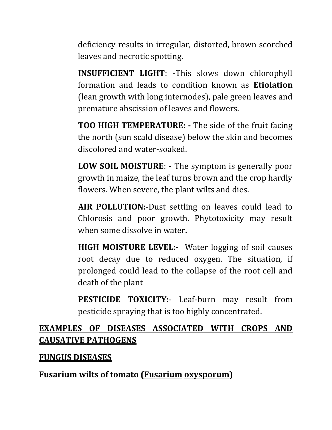deficiency results in irregular, distorted, brown scorched leaves and necrotic spotting.

**INSUFFICIENT LIGHT**: -This slows down chlorophyll formation and leads to condition known as **Etiolation** (lean growth with long internodes), pale green leaves and premature abscission of leaves and flowers.

**TOO HIGH TEMPERATURE: -** The side of the fruit facing the north (sun scald disease) below the skin and becomes discolored and water-soaked.

**LOW SOIL MOISTURE**: - The symptom is generally poor growth in maize, the leaf turns brown and the crop hardly flowers. When severe, the plant wilts and dies.

**AIR POLLUTION:-**Dust settling on leaves could lead to Chlorosis and poor growth. Phytotoxicity may result when some dissolve in water**.**

**HIGH MOISTURE LEVEL:-** Water logging of soil causes root decay due to reduced oxygen. The situation, if prolonged could lead to the collapse of the root cell and death of the plant

**PESTICIDE TOXICITY:**- Leaf-burn may result from pesticide spraying that is too highly concentrated.

## **EXAMPLES OF DISEASES ASSOCIATED WITH CROPS AND CAUSATIVE PATHOGENS**

#### **FUNGUS DISEASES**

**Fusarium wilts of tomato (Fusarium oxysporum)**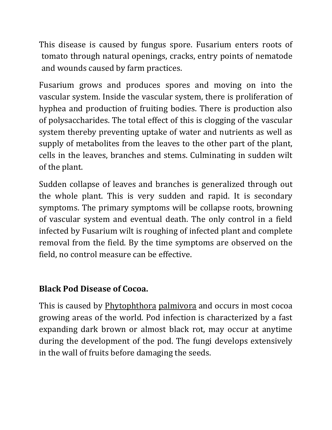This disease is caused by fungus spore. Fusarium enters roots of tomato through natural openings, cracks, entry points of nematode and wounds caused by farm practices.

Fusarium grows and produces spores and moving on into the vascular system. Inside the vascular system, there is proliferation of hyphea and production of fruiting bodies. There is production also of polysaccharides. The total effect of this is clogging of the vascular system thereby preventing uptake of water and nutrients as well as supply of metabolites from the leaves to the other part of the plant, cells in the leaves, branches and stems. Culminating in sudden wilt of the plant.

Sudden collapse of leaves and branches is generalized through out the whole plant. This is very sudden and rapid. It is secondary symptoms. The primary symptoms will be collapse roots, browning of vascular system and eventual death. The only control in a field infected by Fusarium wilt is roughing of infected plant and complete removal from the field. By the time symptoms are observed on the field, no control measure can be effective.

## **Black Pod Disease of Cocoa.**

This is caused by Phytophthora palmivora and occurs in most cocoa growing areas of the world. Pod infection is characterized by a fast expanding dark brown or almost black rot, may occur at anytime during the development of the pod. The fungi develops extensively in the wall of fruits before damaging the seeds.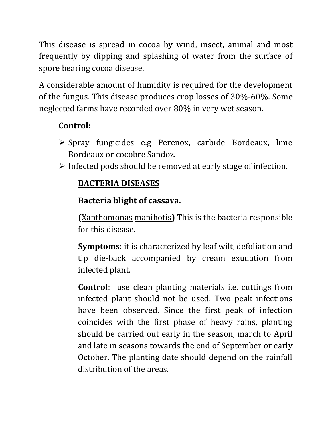This disease is spread in cocoa by wind, insect, animal and most frequently by dipping and splashing of water from the surface of spore bearing cocoa disease.

A considerable amount of humidity is required for the development of the fungus. This disease produces crop losses of 30%-60%. Some neglected farms have recorded over 80% in very wet season.

# **Control:**

- $\triangleright$  Spray fungicides e.g Perenox, carbide Bordeaux, lime Bordeaux or cocobre Sandoz.
- $\triangleright$  Infected pods should be removed at early stage of infection.

# **BACTERIA DISEASES**

# **Bacteria blight of cassava.**

**(**Xanthomonas manihotis**)** This is the bacteria responsible for this disease.

**Symptoms**: it is characterized by leaf wilt, defoliation and tip die-back accompanied by cream exudation from infected plant.

**Control**: use clean planting materials i.e. cuttings from infected plant should not be used. Two peak infections have been observed. Since the first peak of infection coincides with the first phase of heavy rains, planting should be carried out early in the season, march to April and late in seasons towards the end of September or early October. The planting date should depend on the rainfall distribution of the areas.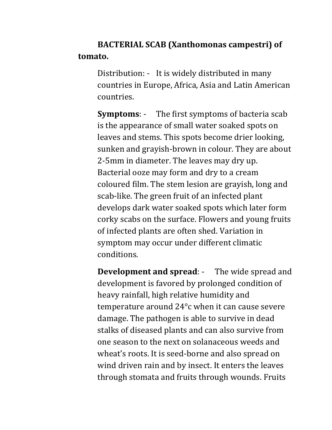**BACTERIAL SCAB (Xanthomonas campestri) of tomato.**

Distribution: - It is widely distributed in many countries in Europe, Africa, Asia and Latin American countries.

**Symptoms**: - The first symptoms of bacteria scab is the appearance of small water soaked spots on leaves and stems. This spots become drier looking, sunken and grayish-brown in colour. They are about 2-5mm in diameter. The leaves may dry up. Bacterial ooze may form and dry to a cream coloured film. The stem lesion are grayish, long and scab-like. The green fruit of an infected plant develops dark water soaked spots which later form corky scabs on the surface. Flowers and young fruits of infected plants are often shed. Variation in symptom may occur under different climatic conditions.

**Development and spread**: - The wide spread and development is favored by prolonged condition of heavy rainfall, high relative humidity and temperature around 24°c when it can cause severe damage. The pathogen is able to survive in dead stalks of diseased plants and can also survive from one season to the next on solanaceous weeds and wheat's roots. It is seed-borne and also spread on wind driven rain and by insect. It enters the leaves through stomata and fruits through wounds. Fruits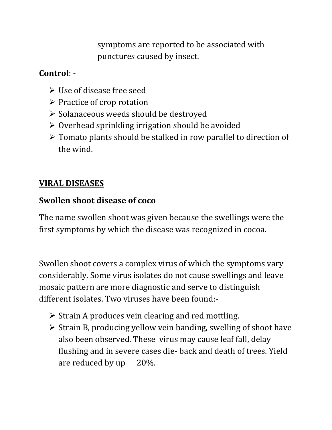symptoms are reported to be associated with punctures caused by insect.

## **Control**: -

- $\triangleright$  Use of disease free seed
- $\triangleright$  Practice of crop rotation
- $\triangleright$  Solanaceous weeds should be destroyed
- $\triangleright$  Overhead sprinkling irrigation should be avoided
- $\triangleright$  Tomato plants should be stalked in row parallel to direction of the wind.

# **VIRAL DISEASES**

# **Swollen shoot disease of coco**

The name swollen shoot was given because the swellings were the first symptoms by which the disease was recognized in cocoa.

Swollen shoot covers a complex virus of which the symptoms vary considerably. Some virus isolates do not cause swellings and leave mosaic pattern are more diagnostic and serve to distinguish different isolates. Two viruses have been found:-

- $\triangleright$  Strain A produces vein clearing and red mottling.
- $\triangleright$  Strain B, producing yellow vein banding, swelling of shoot have also been observed. These virus may cause leaf fall, delay flushing and in severe cases die- back and death of trees. Yield are reduced by up 20%.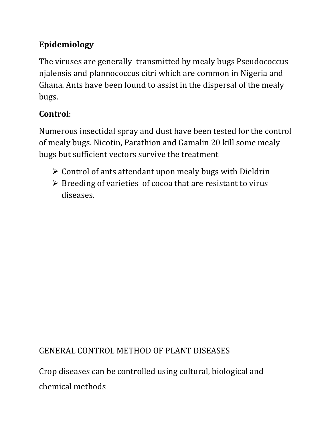# **Epidemiology**

The viruses are generally transmitted by mealy bugs Pseudococcus njalensis and plannococcus citri which are common in Nigeria and Ghana. Ants have been found to assist in the dispersal of the mealy bugs.

# **Control**:

Numerous insectidal spray and dust have been tested for the control of mealy bugs. Nicotin, Parathion and Gamalin 20 kill some mealy bugs but sufficient vectors survive the treatment

- $\triangleright$  Control of ants attendant upon mealy bugs with Dieldrin
- $\triangleright$  Breeding of varieties of cocoa that are resistant to virus diseases.

# GENERAL CONTROL METHOD OF PLANT DISEASES

Crop diseases can be controlled using cultural, biological and chemical methods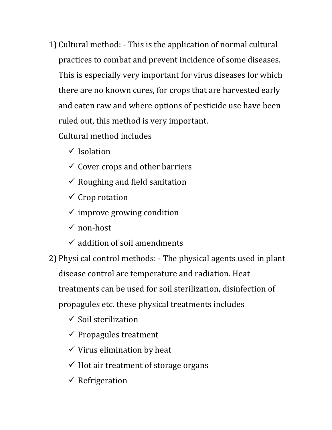1) Cultural method: - This is the application of normal cultural practices to combat and prevent incidence of some diseases. This is especially very important for virus diseases for which there are no known cures, for crops that are harvested early and eaten raw and where options of pesticide use have been ruled out, this method is very important.

Cultural method includes

- $\checkmark$  Isolation
- $\checkmark$  Cover crops and other barriers
- $\checkmark$  Roughing and field sanitation
- $\checkmark$  Crop rotation
- $\checkmark$  improve growing condition
- $\checkmark$  non-host
- $\checkmark$  addition of soil amendments
- 2) Physi cal control methods: The physical agents used in plant disease control are temperature and radiation. Heat treatments can be used for soil sterilization, disinfection of propagules etc. these physical treatments includes
	- $\checkmark$  Soil sterilization
	- $\checkmark$  Propagules treatment
	- $\checkmark$  Virus elimination by heat
	- $\checkmark$  Hot air treatment of storage organs
	- $\checkmark$  Refrigeration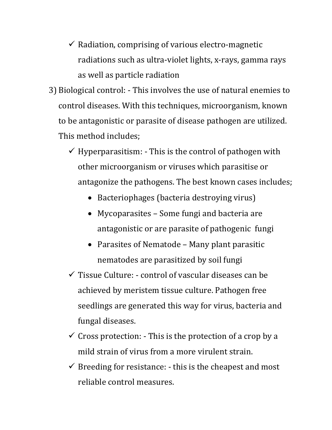- $\checkmark$  Radiation, comprising of various electro-magnetic radiations such as ultra-violet lights, x-rays, gamma rays as well as particle radiation
- 3) Biological control: This involves the use of natural enemies to control diseases. With this techniques, microorganism, known to be antagonistic or parasite of disease pathogen are utilized. This method includes;
	- $\checkmark$  Hyperparasitism: This is the control of pathogen with other microorganism or viruses which parasitise or antagonize the pathogens. The best known cases includes;
		- Bacteriophages (bacteria destroying virus)
		- Mycoparasites Some fungi and bacteria are antagonistic or are parasite of pathogenic fungi
		- Parasites of Nematode Many plant parasitic nematodes are parasitized by soil fungi
	- $\checkmark$  Tissue Culture: control of vascular diseases can be achieved by meristem tissue culture. Pathogen free seedlings are generated this way for virus, bacteria and fungal diseases.
	- $\checkmark$  Cross protection: This is the protection of a crop by a mild strain of virus from a more virulent strain.
	- $\checkmark$  Breeding for resistance: this is the cheapest and most reliable control measures.